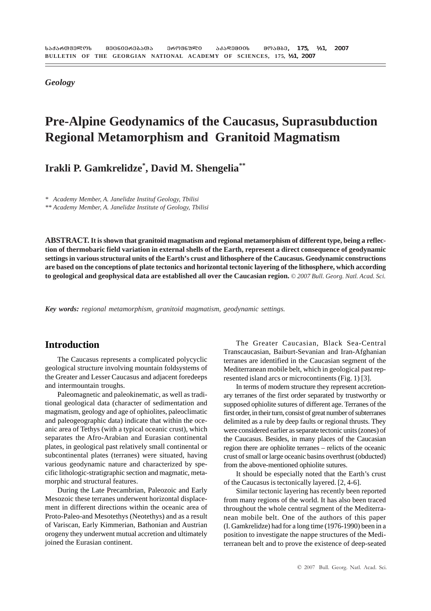*Geology*

## **Pre-Alpine Geodynamics of the Caucasus, Suprasubduction Regional Metamorphism and Granitoid Magmatism**

**Irakli P. Gamkrelidze\* , David M. Shengelia\*\***

*\* Academy Member, A. Janelidze Instituf Geology, Tbilisi*

*\*\* Academy Member, A. Janelidze Institute of Geology, Tbilisi*

**ABSTRACT. It is shown that granitoid magmatism and regional metamorphism of different type, being a reflection of thermobaric field variation in external shells of the Earth, represent a direct consequence of geodynamic settings in various structural units of the Earth's crust and lithosphere of the Caucasus. Geodynamic constructions are based on the conceptions of plate tectonics and horizontal tectonic layering of the lithosphere, which according to geological and geophysical data are established all over the Caucasian region.** *© 2007 Bull. Georg. Natl. Acad. Sci.*

*Key words: regional metamorphism, granitoid magmatism, geodynamic settings.*

### **Introduction**

The Caucasus represents a complicated polycyclic geological structure involving mountain foldsystems of the Greater and Lesser Caucasus and adjacent foredeeps and intermountain troughs.

Paleomagnetic and paleokinematic, as well as traditional geological data (character of sedimentation and magmatism, geology and age of ophiolites, paleoclimatic and paleogeographic data) indicate that within the oceanic area of Tethys (with a typical oceanic crust), which separates the Afro-Arabian and Eurasian continental plates, in geological past relatively small continental or subcontinental plates (terranes) were situated, having various geodynamic nature and characterized by specific lithologic-stratigraphic section and magmatic, metamorphic and structural features.

During the Late Precambrian, Paleozoic and Early Mesozoic these terranes underwent horizontal displacement in different directions within the oceanic area of Proto-Paleo-and Mesotethys (Neotethys) and as a result of Variscan, Early Kimmerian, Bathonian and Austrian orogeny they underwent mutual accretion and ultimately joined the Eurasian continent.

The Greater Caucasian, Black Sea-Central Transcaucasian, Baiburt-Sevanian and Iran-Afghanian terranes are identified in the Caucasian segment of the Mediterranean mobile belt, which in geological past represented island arcs or microcontinents (Fig. 1) [3].

In terms of modern structure they represent accretionary terranes of the first order separated by trustworthy or supposed ophiolite sutures of different age. Terranes of the first order, in their turn, consist of great number of subterranes delimited as a rule by deep faults or regional thrusts. They were considered earlier as separate tectonic units (zones) of the Caucasus. Besides, in many places of the Caucasian region there are ophiolite terranes – relicts of the oceanic crust of small or large oceanic basins overthrust (obducted) from the above-mentioned ophiolite sutures.

It should be especially noted that the Earth's crust of the Caucasus is tectonically layered. [2, 4-6].

Similar tectonic layering has recently been reported from many regions of the world. It has also been traced throughout the whole central segment of the Mediterranean mobile belt. One of the authors of this paper (I. Gamkrelidze) had for a long time (1976-1990) been in a position to investigate the nappe structures of the Mediterranean belt and to prove the existence of deep-seated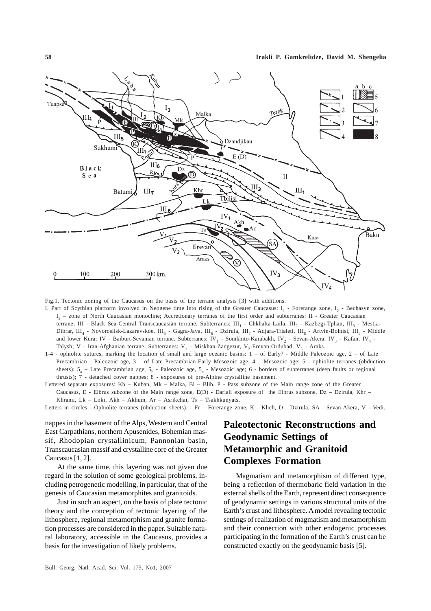

Fig.1. Tectonic zoning of the Caucasus on the basis of the terrane analysis [3] with additions.

- I. Part of Scythian platform involved in Neogene time into rising of the Greater Caucasus:  $I_1$  Forerange zone,  $I_2$  Bechasyn zone, I3 – zone of North Caucasian monocline; Accretionary terranes of the first order and subterranes: II - Greater Caucasian terrane; III - Black Sea-Central Transcaucasian terrane. Subterranes: III, - Chkhalta-Laila, III<sub>2</sub> - Kazbegi-Tphan, III<sub>2</sub> - Mestia-Dibrar, III<sub>4</sub> - Novorosiisk-Lazarevskoe, III<sub>5</sub> - Gagra-Java, III<sub>6</sub> - Dzirula, III<sub>7</sub> - Adjara-Trialeti, III<sub>8</sub> - Artvin-Bolnisi, III<sub>9</sub> - Middle and lower Kura; IV - Baiburt-Sevanian terrane. Subterranes: IV<sub>1</sub> - Somkhito-Karabakh, IV<sub>2</sub> - Sevan-Akera, IV<sub>3</sub> - Kafan, IV<sub>4</sub> -Talysh; V - Iran-Afghanian terrane. Subterranes: V<sub>1</sub> - Miskhan-Zangezur, V<sub>2</sub>-Erevan-Ordubad, V<sub>3</sub> - Araks.
- 1-4 ophiolite sutures, marking the location of small and large oceanic basins: 1 of Early? Middle Paleozoic age, 2 of Late Precambrian - Paleozoic age, 3 – of Late Precambrian-Early Mesozoic age, 4 – Mesozoic age; 5 - ophiolite terranes (obduction sheets):  $5_a$  – Late Precambrian age,  $5_b$  - Paleozoic age,  $5_c$  - Mesozoic age; 6 - borders of subterranes (deep faults or regional thrusts);  $\overline{7}$  - detached cover nappes;  $\overline{8}$  - exposures of pre-Alpine crystalline basement.

Lettered separate exposures: Kb – Kuban, Mk – Malka, Bl – Blib, P - Pass subzone of the Main range zone of the Greater Caucasus, E - Elbrus subzone of the Main range zone, E(D) - Dariali exposure of the Elbrus subzone, Dz – Dzirula, Khr – Khrami, Lk – Loki, Akh – Akhum, Ar – Asrikchai, Ts – Tsakhkunyats.

Letters in circles - Ophiolite terranes (obduction sheets): - Fr – Forerange zone, K - Klich, D - Dzirula, SA - Sevan-Akera, V - Vedi.

nappes in the basement of the Alps, Western and Central East Carpathians, northern Apusenides, Bohemian massif, Rhodopian crystallinicum, Pannonian basin, Transcaucasian massif and crystalline core of the Greater Caucasus [1, 2].

At the same time, this layering was not given due regard in the solution of some geological problems, including petrogenetic modelling, in particular, that of the genesis of Caucasian metamorphites and granitoids.

Just in such an aspect, on the basis of plate tectonic theory and the conception of tectonic layering of the lithosphere, regional metamorphism and granite formation processes are considered in the paper. Suitable natural laboratory, accessible in the Caucasus, provides a basis for the investigation of likely problems.

### **Paleotectonic Reconstructions and Geodynamic Settings of Metamorphic and Granitoid Complexes Formation**

Magmatism and metamorphism of different type, being a reflection of thermobaric field variation in the external shells of the Earth, represent direct consequence of geodynamic settings in various structural units of the Earth's crust and lithosphere. A model revealing tectonic settings of realization of magmatism and metamorphism and their connection with other endogenic processes participating in the formation of the Earth's crust can be constructed exactly on the geodynamic basis [5].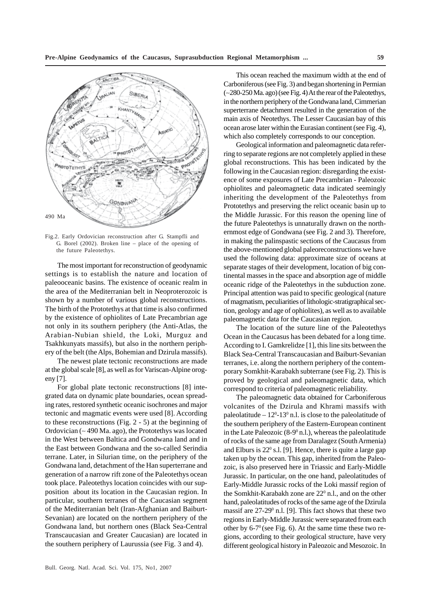

Fig.2. Early Ordovician reconstruction after G. Stampfli and G. Borel (2002). Broken line – place of the opening of the future Paleotethys.

The most important for reconstruction of geodynamic settings is to establish the nature and location of paleooceanic basins. The existence of oceanic realm in the area of the Mediterranian belt in Neoproterozoic is shown by a number of various global reconstructions. The birth of the Prototethys at that time is also confirmed by the existence of ophiolites of Late Precambrian age not only in its southern periphery (the Anti-Atlas, the Arabian-Nubian shield, the Loki, Murguz and Tsakhkunyats massifs), but also in the northern periphery of the belt (the Alps, Bohemian and Dzirula massifs).

The newest plate tectonic reconstructions are made at the global scale [8], as well as for Variscan-Alpine orogeny [7].

For global plate tectonic reconstructions [8] integrated data on dynamic plate boundaries, ocean spreading rates, restored synthetic oceanic isochrones and major tectonic and magmatic events were used [8]. According to these reconstructions (Fig. 2 - 5) at the beginning of Ordovician (∼ 490 Ma. ago), the Prototethys was located in the West between Baltica and Gondwana land and in the East between Gondwana and the so-called Serindia terrane. Later, in Silurian time, on the periphery of the Gondwana land, detachment of the Han superterrane and generation of a narrow rift zone of the Paleotethys ocean took place. Paleotethys location coincides with our supposition about its location in the Caucasian region. In particular, southern terranes of the Caucasian segment of the Mediterranian belt (Iran-Afghanian and Baiburt-Sevanian) are located on the northern periphery of the Gondwana land, but northern ones (Black Sea-Central Transcaucasian and Greater Caucasian) are located in the southern periphery of Laurussia (see Fig. 3 and 4).

This ocean reached the maximum width at the end of Carboniferous (see Fig. 3) and began shortening in Permian (∼280-250 Ma. ago) (see Fig. 4) At the rear of the Paleotethys, in the northern periphery of the Gondwana land, Cimmerian superterrane detachment resulted in the generation of the main axis of Neotethys. The Lesser Caucasian bay of this ocean arose later within the Eurasian continent (see Fig. 4), which also completely corresponds to our conception.

Geological information and paleomagnetic data referring to separate regions are not completely applied in these global reconstructions. This has been indicated by the following in the Caucasian region: disregarding the existence of some exposures of Late Precambrian - Paleozoic ophiolites and paleomagnetic data indicated seemingly inheriting the development of the Paleotethys from Prototethys and preserving the relict oceanic basin up to the Middle Jurassic. For this reason the opening line of the future Paleotethys is unnaturally drawn on the northernmost edge of Gondwana (see Fig. 2 and 3). Therefore, in making the palinspastic sections of the Caucasus from the above-mentioned global paleoreconstructions we have used the following data: approximate size of oceans at separate stages of their development, location of big continental masses in the space and absorption age of middle oceanic ridge of the Paleotethys in the subduction zone. Principal attention was paid to specific geological (nature of magmatism, peculiarities of lithologic-stratigraphical section, geology and age of ophiolites), as well as to available paleomagnetic data for the Caucasian region.

The location of the suture line of the Paleotethys Ocean in the Caucasus has been debated for a long time. According to I. Gamkrelidze [1], this line sits between the Black Sea-Central Transcaucasian and Baiburt-Sevanian terranes, i.e. along the northern periphery of the contemporary Somkhit-Karabakh subterrane (see Fig. 2). This is proved by geological and paleomagnetic data, which correspond to criteria of paleomagnetic reliability.

The paleomagnetic data obtained for Carboniferous volcanites of the Dzirula and Khrami massifs with paleolatitude  $-12^{0}$ -13<sup>0</sup> n.l. is close to the paleolatitude of the southern periphery of the Eastern-European continent in the Late Paleozoic  $(8-9)$ <sup>0</sup> n.l.), whereas the paleolatitude of rocks of the same age from Daralagez (South Armenia) and Elburs is 22<sup>0</sup> s.l. [9]. Hence, there is quite a large gap taken up by the ocean. This gap, inherited from the Paleozoic, is also preserved here in Triassic and Early-Middle Jurassic. In particular, on the one hand, paleolatitudes of Early-Middle Jurassic rocks of the Loki massif region of the Somkhit-Karabakh zone are 22<sup>0</sup> n.l., and on the other hand, paleolatitudes of rocks of the same age of the Dzirula massif are  $27-29^{\circ}$  n.l. [9]. This fact shows that these two regions in Early-Middle Jurassic were separated from each other by  $6-7^{\circ}$  (see Fig. 6). At the same time these two regions, according to their geological structure, have very different geological history in Paleozoic and Mesozoic. In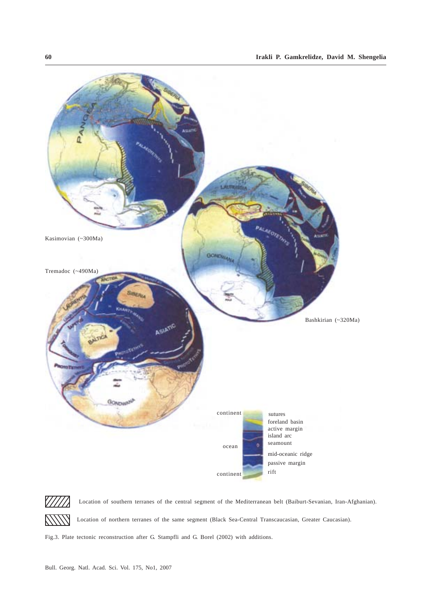



Location of southern terranes of the central segment of the Mediterranean belt (Baiburt-Sevanian, Iran-Afghanian). Location of northern terranes of the same segment (Black Sea-Central Transcaucasian, Greater Caucasian).

Fig.3. Plate tectonic reconstruction after G. Stampfli and G. Borel (2002) with additions.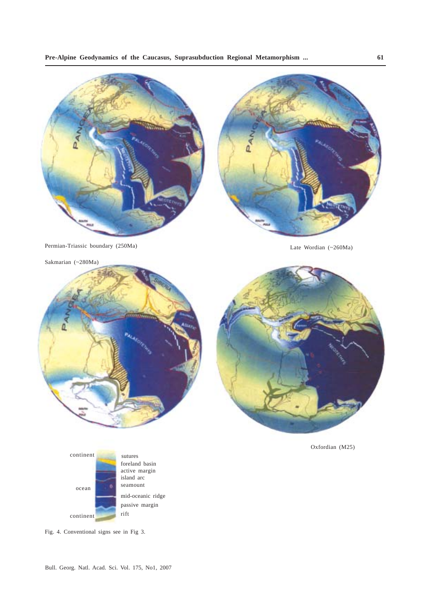

Permian-Triassic boundary (250Ma) Late Wordian (~260Ma)

Sakmarian (~280Ma)



Oxfordian (M25)



Fig. 4. Conventional signs see in Fig 3.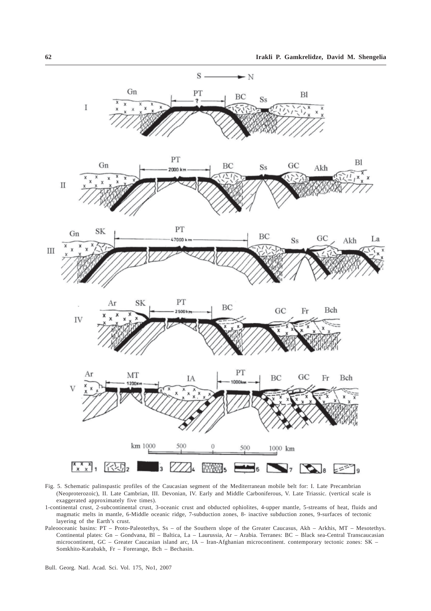

Fig. 5. Schematic palinspastic profiles of the Caucasian segment of the Mediterranean mobile belt for: I. Late Precambrian (Neoproterozoic), II. Late Cambrian, III. Devonian, IV. Early and Middle Carboniferous, V. Late Triassic. (vertical scale is exaggerated approximately five times).

- 1-continental crust, 2-subcontinental crust, 3-oceanic crust and obducted ophiolites, 4-upper mantle, 5-streams of heat, fluids and magmatic melts in mantle, 6-Middle oceanic ridge, 7-subduction zones, 8- inactive subduction zones, 9-surfaces of tectonic layering of the Earth's crust.
- Paleooceanic basins: PT Proto-Paleotethys, Ss of the Southern slope of the Greater Caucasus, Akh Arkhis, MT Mesotethys. Continental plates: Gn – Gondvana, Bl – Baltica, La – Laurussia, Ar – Arabia. Terranes: BC – Black sea-Central Transcaucasian microcontinent, GC – Greater Caucasian island arc, IA – Iran-Afghanian microcontinent. contemporary tectonic zones: SK – Somkhito-Karabakh, Fr – Forerange, Bch – Bechasin.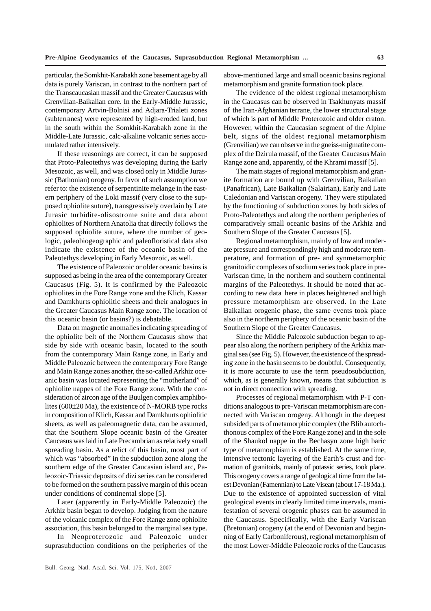particular, the Somkhit-Karabakh zone basement age by all data is purely Variscan, in contrast to the northern part of the Transcaucasian massif and the Greater Caucasus with Grenvilian-Baikalian core. In the Early-Middle Jurassic, contemporary Artvin-Bolnisi and Adjara-Trialeti zones (subterranes) were represented by high-eroded land, but in the south within the Somkhit-Karabakh zone in the Middle-Late Jurassic, calc-alkaline volcanic series accumulated rather intensively.

If these reasonings are correct, it can be supposed that Proto-Paleotethys was developing during the Early Mesozoic, as well, and was closed only in Middle Jurassic (Bathonian) orogeny. In favor of such assumption we refer to: the existence of serpentinite melange in the eastern periphery of the Loki massif (very close to the supposed ophiolite suture), transgressively overlain by Late Jurasic turbidite-olisostrome suite and data about ophiolites of Northern Anatolia that directly follows the supposed ophiolite suture, where the number of geologic, paleobiogeographic and paleofloristical data also indicate the existence of the oceanic basin of the Paleotethys developing in Early Mesozoic, as well.

The existence of Paleozoic or older oceanic basins is supposed as being in the area of the contemporary Greater Caucasus (Fig. 5). It is confirmed by the Paleozoic ophiolites in the Fore Range zone and the Klich, Kassar and Damkhurts ophiolitic sheets and their analogues in the Greater Caucasus Main Range zone. The location of this oceanic basin (or basins?) is debatable.

Data on magnetic anomalies indicating spreading of the ophiolite belt of the Northern Caucasus show that side by side with oceanic basin, located to the south from the contemporary Main Range zone, in Early and Middle Paleozoic between the contemporary Fore Range and Main Range zones another, the so-called Arkhiz oceanic basin was located representing the "motherland" of ophiolite nappes of the Fore Range zone. With the consideration of zircon age of the Buulgen complex amphibolites (600±20 Ma), the existence of N-MORB type rocks in composition of Klich, Kassar and Damkhurts ophiolitic sheets, as well as paleomagnetic data, can be assumed, that the Southern Slope oceanic basin of the Greater Caucasus was laid in Late Precambrian as relatively small spreading basin. As a relict of this basin, most part of which was "absorbed" in the subduction zone along the southern edge of the Greater Caucasian island arc, Paleozoic-Triassic deposits of dizi series can be considered to be formed on the southern passive margin of this ocean under conditions of continental slope [5].

Later (apparently in Early-Middle Paleozoic) the Arkhiz basin began to develop. Judging from the nature of the volcanic complex of the Fore Range zone ophiolite association, this basin belonged to the marginal sea type.

In Neoproterozoic and Paleozoic under suprasubduction conditions on the peripheries of the above-mentioned large and small oceanic basins regional metamorphism and granite formation took place.

The evidence of the oldest regional metamorphism in the Caucasus can be observed in Tsakhunyats massif of the Iran-Afghanian terrane, the lower structural stage of which is part of Middle Proterozoic and older craton. However, within the Caucasian segment of the Alpine belt, signs of the oldest regional metamorphism (Grenvilian) we can observe in the gneiss-migmatite complex of the Dzirula massif, of the Greater Caucasus Main Range zone and, apparently, of the Khrami massif [5].

The main stages of regional metamorphism and granite formation are bound up with Grenvilian, Baikalian (Panafrican), Late Baikalian (Salairian), Early and Late Caledonian and Variscan orogeny. They were stipulated by the functioning of subduction zones by both sides of Proto-Paleotethys and along the northern peripheries of comparatively small oceanic basins of the Arkhiz and Southern Slope of the Greater Caucasus [5].

Regional metamorphism, mainly of low and moderate pressure and correspondingly high and moderate temperature, and formation of pre- and synmetamorphic granitoidic complexes of sodium series took place in pre-Variscan time, in the northern and southern continental margins of the Paleotethys. It should be noted that according to new data here in places heightened and high pressure metamorphism are observed. In the Late Baikalian orogenic phase, the same events took place also in the northern periphery of the oceanic basin of the Southern Slope of the Greater Caucasus.

Since the Middle Paleozoic subduction began to appear also along the northern periphery of the Arkhiz marginal sea (see Fig. 5). However, the existence of the spreading zone in the basin seems to be doubtful. Consequently, it is more accurate to use the term pseudosubduction, which, as is generally known, means that subduction is not in direct connection with spreading.

Processes of regional metamorphism with P-T conditions analogous to pre-Variscan metamorphism are connected with Variscan orogeny. Although in the deepest subsided parts of metamorphic complex (the Blib autochthonous complex of the Fore Range zone) and in the sole of the Shaukol nappe in the Bechasyn zone high baric type of metamorphism is established. At the same time, intensive tectonic layering of the Earth's crust and formation of granitoids, mainly of potassic series, took place. This orogeny covers a range of geological time from the latest Devonian (Famennian) to Late Visean (about 17-18 Ma.). Due to the existence of appointed succession of vital geological events in clearly limited time intervals, manifestation of several orogenic phases can be assumed in the Caucasus. Specifically, with the Early Variscan (Bretonian) orogeny (at the end of Devonian and beginning of Early Carboniferous), regional metamorphism of the most Lower-Middle Paleozoic rocks of the Caucasus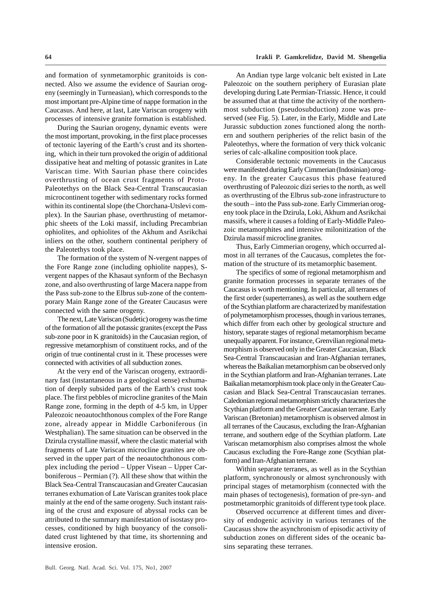and formation of synmetamorphic granitoids is connected. Also we assume the evidence of Saurian orogeny (seemingly in Turneasian), which corresponds to the most important pre-Alpine time of nappe formation in the Caucasus. And here, at last, Late Variscan orogeny with processes of intensive granite formation is established.

During the Saurian orogeny, dynamic events were the most important, provoking, in the first place processes of tectonic layering of the Earth's crust and its shortening, which in their turn provoked the origin of additional dissipative heat and melting of potassic granites in Late Variscan time. With Saurian phase there coincides overthrusting of ocean crust fragments of Proto-Paleotethys on the Black Sea-Central Transcaucasian microcontinent together with sedimentary rocks formed within its continental slope (the Chorchana-Utslevi complex). In the Saurian phase, overthrusting of metamorphic sheets of the Loki massif, including Precambrian ophiolites, and ophiolites of the Akhum and Asrikchai inliers on the other, southern continental periphery of the Paleotethys took place.

The formation of the system of N-vergent nappes of the Fore Range zone (including ophiolite nappes), Svergent nappes of the Khasaut synform of the Bechasyn zone, and also overthrusting of large Macera nappe from the Pass sub-zone to the Elbrus sub-zone of the contemporary Main Range zone of the Greater Caucasus were connected with the same orogeny.

The next, Late Variscan (Sudetic) orogeny was the time of the formation of all the potassic granites (except the Pass sub-zone poor in K granitoids) in the Caucasian region, of regressive metamorphism of constituent rocks, and of the origin of true continental crust in it. These processes were connected with activities of all subduction zones.

At the very end of the Variscan orogeny, extraordinary fast (instantaneous in a geological sense) exhumation of deeply subsided parts of the Earth's crust took place. The first pebbles of microcline granites of the Main Range zone, forming in the depth of 4-5 km, in Upper Paleozoic neoautochthonous complex of the Fore Range zone, already appear in Middle Carboniferous (in Westphalian). The same situation can be observed in the Dzirula crystalline massif, where the clastic material with fragments of Late Variscan microcline granites are observed in the upper part of the neoautochthonous complex including the period – Upper Visean – Upper Carboniferous – Permian (?). All these show that within the Black Sea-Central Transcaucasian and Greater Caucasian terranes exhumation of Late Variscan granites took place mainly at the end of the same orogeny. Such instant raising of the crust and exposure of abyssal rocks can be attributed to the summary manifestation of isostasy processes, conditioned by high buoyancy of the consolidated crust lightened by that time, its shortenning and intensive erosion.

An Andian type large volcanic belt existed in Late Paleozoic on the southern periphery of Eurasian plate developing during Late Permian-Triassic. Hence, it could be assumed that at that time the activity of the northernmost subduction (pseudosubduction) zone was preserved (see Fig. 5). Later, in the Early, Middle and Late Jurassic subduction zones functioned along the northern and southern peripheries of the relict basin of the Paleotethys, where the formation of very thick volcanic series of calc-alkaline composition took place.

Considerable tectonic movements in the Caucasus were manifested during Early Cimmerian (Indosinian) orogeny. In the greater Caucasus this phase featured overthrusting of Paleozoic dizi series to the north, as well as overthrusting of the Elbrus sub-zone infrastructure to the south – into the Pass sub-zone. Early Cimmerian orogeny took place in the Dzirula, Loki, Akhum and Asrikchai massifs, where it causes a folding of Early-Middle Paleozoic metamorphites and intensive milonitization of the Dzirula massif microcline granites.

Thus, Early Cimmerian orogeny, which occurred almost in all terranes of the Caucasus, completes the formation of the structure of its metamorphic basement.

The specifics of some of regional metamorphism and granite formation processes in separate terranes of the Caucasus is worth mentioning. In particular, all terranes of the first order (superterranes), as well as the southern edge of the Scythian platform are characterized by manifestation of polymetamorphism processes, though in various terranes, which differ from each other by geological structure and history, separate stages of regional metamorphism became unequally apparent. For instance, Grenvilian regional metamorphism is observed only in the Greater Caucasian, Black Sea-Central Transcaucasian and Iran-Afghanian terranes, whereas the Baikalian metamorphism can be observed only in the Scythian platform and Iran-Afghanian terranes. Late Baikalian metamorphism took place only in the Greater Caucasian and Black Sea-Central Transcaucasian terranes. Caledonian regional metamorphism strictly characterizes the Scythian platform and the Greater Caucasian terrane. Early Variscan (Bretonian) metamorphism is observed almost in all terranes of the Caucasus, excluding the Iran-Afghanian terrane, and southern edge of the Scythian platform. Late Variscan metamorphism also comprises almost the whole Caucasus excluding the Fore-Range zone (Scythian platform) and Iran-Afghanian terrane.

Within separate terranes, as well as in the Scythian platform, synchronously or almost synchronously with principal stages of metamorphism (connected with the main phases of tectogenesis), formation of pre-syn- and postmetamorphic granitoids of different type took place.

Observed occurrence at different times and diversity of endogenic activity in various terranes of the Caucasus show the asynchronism of episodic activity of subduction zones on different sides of the oceanic basins separating these terranes.